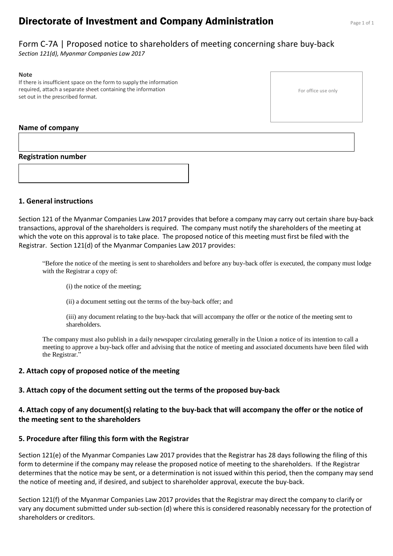# **Directorate of Investment and Company Administration** Page 1 of 1

# Form C-7A | Proposed notice to shareholders of meeting concerning share buy-back

*Section 121(d), Myanmar Companies Law 2017*

#### **Note**

If there is insufficient space on the form to supply the information required, attach a separate sheet containing the information set out in the prescribed format.

### **Name of company**

### **Registration number**



### **1. General instructions**

Section 121 of the Myanmar Companies Law 2017 provides that before a company may carry out certain share buy-back transactions, approval of the shareholders is required. The company must notify the shareholders of the meeting at which the vote on this approval is to take place. The proposed notice of this meeting must first be filed with the Registrar. Section 121(d) of the Myanmar Companies Law 2017 provides:

"Before the notice of the meeting is sent to shareholders and before any buy-back offer is executed, the company must lodge with the Registrar a copy of:

- (i) the notice of the meeting;
- (ii) a document setting out the terms of the buy-back offer; and

(iii) any document relating to the buy-back that will accompany the offer or the notice of the meeting sent to shareholders.

The company must also publish in a daily newspaper circulating generally in the Union a notice of its intention to call a meeting to approve a buy-back offer and advising that the notice of meeting and associated documents have been filed with the Registrar."

### **2. Attach copy of proposed notice of the meeting**

# **3. Attach copy of the document setting out the terms of the proposed buy-back**

## **4. Attach copy of any document(s) relating to the buy-back that will accompany the offer or the notice of the meeting sent to the shareholders**

## **5. Procedure after filing this form with the Registrar**

Section 121(e) of the Myanmar Companies Law 2017 provides that the Registrar has 28 days following the filing of this form to determine if the company may release the proposed notice of meeting to the shareholders. If the Registrar determines that the notice may be sent, or a determination is not issued within this period, then the company may send the notice of meeting and, if desired, and subject to shareholder approval, execute the buy-back.

Section 121(f) of the Myanmar Companies Law 2017 provides that the Registrar may direct the company to clarify or vary any document submitted under sub-section (d) where this is considered reasonably necessary for the protection of shareholders or creditors.

For office use only